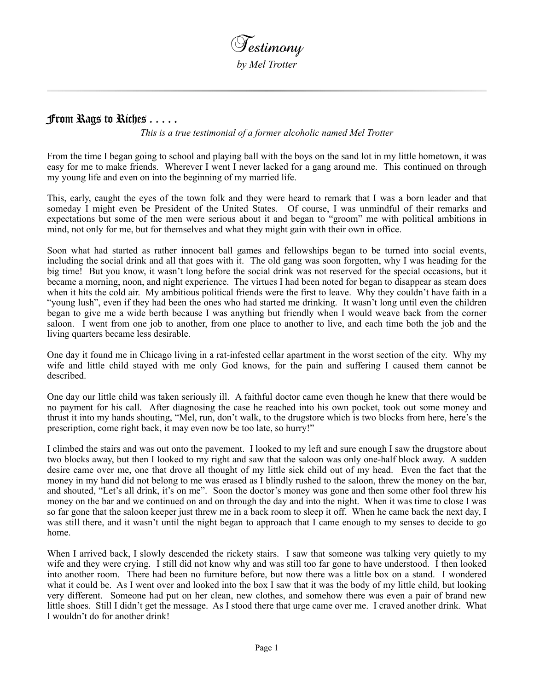

## From Rags to Riches . . . . .

*This is a true testimonial of a former alcoholic named Mel Trotter*

From the time I began going to school and playing ball with the boys on the sand lot in my little hometown, it was easy for me to make friends. Wherever I went I never lacked for a gang around me. This continued on through my young life and even on into the beginning of my married life.

This, early, caught the eyes of the town folk and they were heard to remark that I was a born leader and that someday I might even be President of the United States. Of course, I was unmindful of their remarks and expectations but some of the men were serious about it and began to "groom" me with political ambitions in mind, not only for me, but for themselves and what they might gain with their own in office.

Soon what had started as rather innocent ball games and fellowships began to be turned into social events, including the social drink and all that goes with it. The old gang was soon forgotten, why I was heading for the big time! But you know, it wasn't long before the social drink was not reserved for the special occasions, but it became a morning, noon, and night experience. The virtues I had been noted for began to disappear as steam does when it hits the cold air. My ambitious political friends were the first to leave. Why they couldn't have faith in a "young lush", even if they had been the ones who had started me drinking. It wasn't long until even the children began to give me a wide berth because I was anything but friendly when I would weave back from the corner saloon. I went from one job to another, from one place to another to live, and each time both the job and the living quarters became less desirable.

One day it found me in Chicago living in a rat-infested cellar apartment in the worst section of the city. Why my wife and little child stayed with me only God knows, for the pain and suffering I caused them cannot be described.

One day our little child was taken seriously ill. A faithful doctor came even though he knew that there would be no payment for his call. After diagnosing the case he reached into his own pocket, took out some money and thrust it into my hands shouting, "Mel, run, don't walk, to the drugstore which is two blocks from here, here's the prescription, come right back, it may even now be too late, so hurry!"

I climbed the stairs and was out onto the pavement. I looked to my left and sure enough I saw the drugstore about two blocks away, but then I looked to my right and saw that the saloon was only one-half block away. A sudden desire came over me, one that drove all thought of my little sick child out of my head. Even the fact that the money in my hand did not belong to me was erased as I blindly rushed to the saloon, threw the money on the bar, and shouted, "Let's all drink, it's on me". Soon the doctor's money was gone and then some other fool threw his money on the bar and we continued on and on through the day and into the night. When it was time to close I was so far gone that the saloon keeper just threw me in a back room to sleep it off. When he came back the next day, I was still there, and it wasn't until the night began to approach that I came enough to my senses to decide to go home.

When I arrived back, I slowly descended the rickety stairs. I saw that someone was talking very quietly to my wife and they were crying. I still did not know why and was still too far gone to have understood. I then looked into another room. There had been no furniture before, but now there was a little box on a stand. I wondered what it could be. As I went over and looked into the box I saw that it was the body of my little child, but looking very different. Someone had put on her clean, new clothes, and somehow there was even a pair of brand new little shoes. Still I didn't get the message. As I stood there that urge came over me. I craved another drink. What I wouldn't do for another drink!